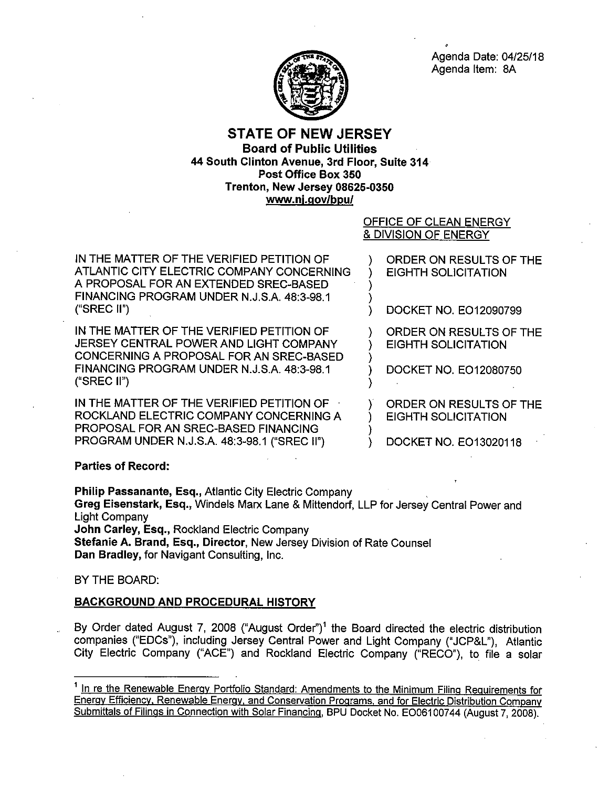

Agenda Date: 04/25/18 Agenda Item: 8A

## **STATE OF NEW JERSEY Board of Public Utilities 44 South Clinton Avenue, 3rd Floor, Suite 314 Post Office Box 350 Trenton, New Jersey 08625-0350 www.nj.gov/bpu/**

# OFFICE OF CLEAN ENERGY & DIVISION OF ENERGY

) )

)

)

)

IN THE MATTER OF THE VERIFIED PETITION OF ATLANTIC CITY ELECTRIC COMPANY CONCERNING A PROPOSAL FOR AN EXTENDED SREC-BASED FINANCING PROGRAM UNDER N.J.S.A. 48:3-98.1 ("SREC II")

IN THE MATTER OF THE VERIFIED PETITION OF JERSEY CENTRAL POWER AND LIGHT COMPANY CONCERNING A PROPOSAL FOR AN SREC-BASED FINANCING PROGRAM UNDER N.J.S.A. 48:3-98.1 ("SREC II")

IN THE MATTER OF THE VERIFIED PETITION OF ROCKLAND ELECTRIC COMPANY CONCERNING A PROPOSAL FOR AN SREC-BASED FINANCING PROGRAM UNDER N.J.S.A. 48:3-98.1 ("SREC 11")

) ORDER ON RESULTS OF THE ) EIGHTH SOLICITATION

) DOCKET NO. E012090799

ORDER ON RESULTS OF THE ) EIGHTH SOLICITATION

) DOCKET NO. E012080750

) ORDER ON RESULTS OF THE ) EIGHTH SOLICITATION

) DOCKET NO. E013020118

### **Parties of Record:**

**Philip Passanante, Esq.,** Atlantic City Electric Company **Greg Eisenstark, Esq.,** Windels Marx Lane & Mittendorf, LLP for Jersey Central Power and Light Company **John Carley, Esq.,** Rockland Electric Company **Stefanie A. Brand, Esq., Director,** New Jersey Division of Rate Counsel **Dan Bradley,** for Navigant Consulting, Inc.

### BY THE BOARD:

### **BACKGROUND AND PROCEDURAL HISTORY**

By Order dated August 7, 2008 ("August Order")<sup>1</sup> the Board directed the electric distribution companies ("EDCs"), including Jersey Central Power and Light Company ("JCP&L"), Atlantic City Electric Company ("ACE") and Rockland Electric Company ("RECO"), to file a solar

<sup>&</sup>lt;sup>1</sup> In re the Renewable Energy Portfolio Standard: Amendments to the Minimum Filing Requirements for Energy Efficiency, Renewable Energy, and Conservation Programs, and for Electric Distribution Company Submittals of Filings in Connection with Solar Financing, BPU Docket No. EO06100744 (August 7, 2008).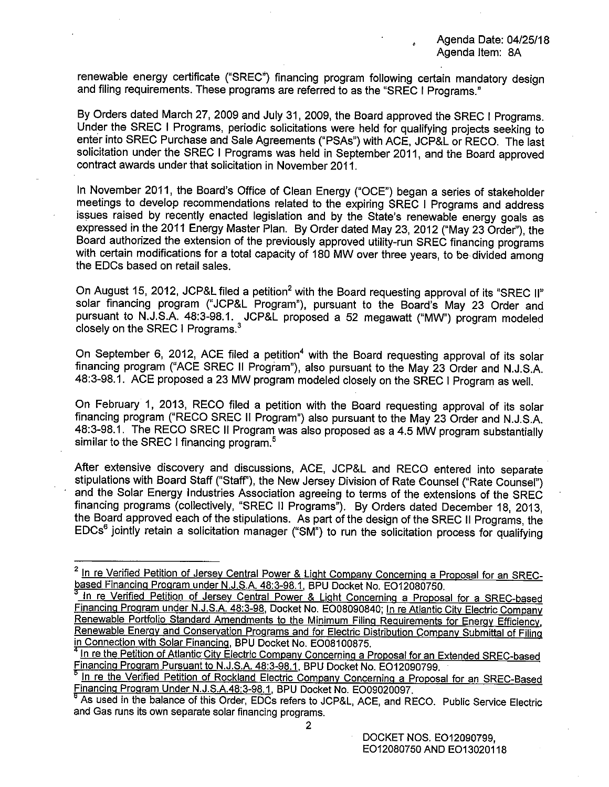renewable energy certificate ("SREC") financing program following certain mandatory design and filing requirements. These programs are referred to as the "SREC I Programs."

By Orders dated March 27, 2009 and July 31, 2009, the Board approved the SREC I Programs. Under the SREC I Programs, periodic solicitations were held for qualifying projects seeking to enter into SREC Purchase and Sale Agreements ("PSAs") with ACE, JCP&L or REGO. The last solicitation under the SREC I Programs was held in September 2011, and the Board approved contract awards under that solicitation in November 2011.

In November 2011, the Board's Office of Clean Energy ("OGE") began a series of stakeholder meetings to develop recommendations related to the expiring SREC I Programs and address issues raised by recently enacted legislation and by the State's renewable energy goals as expressed in the 2011 Energy Master Plan. By Order dated May 23, 2012 ("May 23 Order''), the Board authorized the extension of the previously approved utility-run SREC financing programs with certain modifications for a total capacity of 180 **MW** over three years, to be divided among the EDCs based on retail sales.

On August 15, 2012, JCP&L filed a petition<sup>2</sup> with the Board requesting approval of its "SREC II" solar financing program ("JCP&L Program"}, pursuant to the Board's May 23 Order and pursuant to N.J.S.A. 48:3-98.1. JCP&L proposed a 52 megawatt ("MW") program modeled closely on the SREC I Programs. $^{\rm 3}$ 

On September 6, 2012, ACE filed a petition<sup>4</sup> with the Board requesting approval of its solar financing program ("ACE SREC II Program"), also pursuant to the May 23 Order and N.J.S.A. 48:3-98.1. ACE proposed a 23 MW program modeled closely on the SREC I Program as well.

On February 1, 2013, REGO filed a petition with the Board requesting approval of its solar financing program ("RECO SREC II Program") also pursuant to the May 23 Order and N.J.S.A. 48:3-98.1. The REGO SREC II Program was also proposed as a 4.5 MW program substantially similar to the SREC I financing program.<sup>5</sup>

After extensive discovery and discussions, ACE, JCP&L and REGO entered into separate stipulations with Board Staff ("Staff''), the **New** Jersey Division of Rate Counsel ("Rate Counsel") and the Solar Energy Industries Association agreeing to terms of the extensions of the SREC financing programs (collectively, "SREC II Programs"). By Orders dated December 18, 2013, the Board approved each of the stipulations. As part of the design of the SREC II Programs, the EDCs6 jointly retain a solicitation manager **("SM")** to run the solicitation process for qualifying

<sup>&</sup>lt;sup>2</sup> In re Verified Petition of Jersey Central Power & Light Company Concerning a Proposal for an SRECbased Financing Program under N.J.S.A. 48:3-98.1, BPU Docket No. E012080750.

In re Verified Petition of Jersey Central Power & Light Concerning a Proposal for a SREC-based Financing Program under N.J.S.A. 48:3-98, Docket No. E008090840; In re Atlantic City Electric Company Renewable Portfolio Standard Amendments to the Minimum Filing Requirements for Energy Efficiency. Renewable Energy and Conservation Programs and for Electric Distribution Company Submittal of Filing in Connection with Solar Financing, BPU Docket No. E008100875.

In re the Petition of Atlantic City Electric Company Concerning a Proposal for an Extended SREC-based Financing Program Pursuant to N.J.S.A. 48:3-98.1, BPU Docket No. E012090799.

In re the Verified Petition of Rockland Electric Company Concerning a Proposal for an SREC-Based Financing Program Under N.J.S.A.48:3-98.1, BPU Docket No. E009020097.

As used in the balance of this Order, EDCs refers to JCP&L, ACE, and RECO. Public Service Electric and Gas runs its own separate solar financing programs.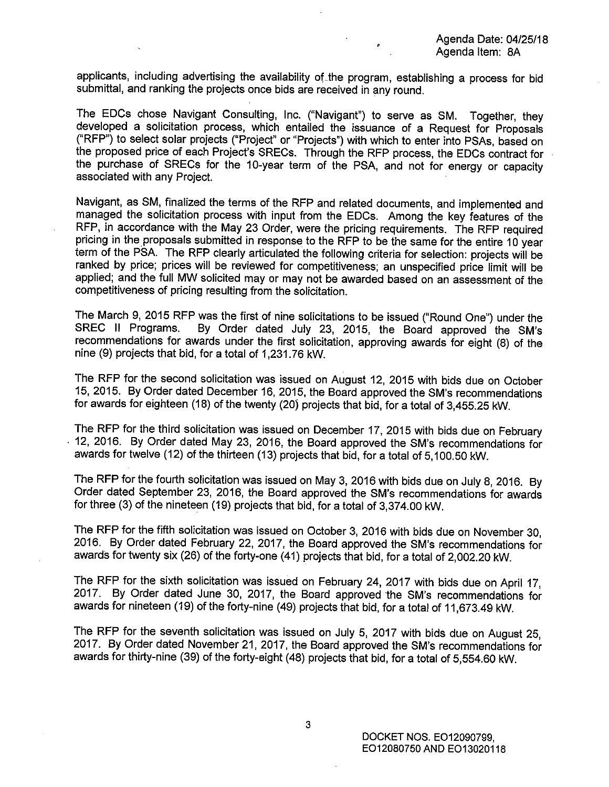applicants, including advertising the availability of the program, establishing a process for bid submittal, and ranking the projects once bids are received in any round.

The EDCs chose Navigant Consulting, Inc. ("Navigant") to serve as SM. Together, they developed a solicitation process, which entailed the issuance of a Request for Proposals ("RFP") to select solar projects ("Project" or "Projects") with which to enter into PSAs, based on the proposed price of each Project's SRECs. Through the RFP process, the EDCs contract for the purchase of SRECs for the 10-year term of the PSA, and not for energy or capacity associated with any Project.

Navigant, as SM, finalized the terms of the RFP and related documents, and implemented and managed the solicitation process with input from the EDCs. Among the key features of the RFP, in accordance with the **May** 23 Order, were the pricing requirements. The RFP required pricing in the proposals submitted in response to the RFP to be the same for the entire 10 year term of the PSA. The RFP clearly articulated the following criteria for selection: projects will be ranked by price; prices will be reviewed for competitiveness; an unspecified price limit will be applied; and the full MW solicited may or may not be awarded based on an assessment of the competitiveness of pricing resulting from the solicitation.

The March 9, 2015 RFP was the first of nine solicitations to be issued ("Round One") under the SM's The SM's By Order dated July 23, 2015, the Board approved the SM's recommendations for awards under the first solicitation, approving awards for eight (8) of the nine (9) projects that bid, for a total of 1,231.76 kW.

The RFP for the second solicitation was issued on August 12, 2015 with bids due on October 15, 2015. By Order dated December 16, 2015, the Board approved the SM's recommendations for awards for eighteen (18) of the twenty (20) projects that bid, for a total of 3,455.25 kW.

The RFP for the third solicitation was issued on December 17, 2015 with bids due on February . 12, 2016. By Order dated May 23, 2016, the Board approved the SM's recommendations for awards for twelve (12) of the thirteen (13) projects that bid, for a total of 5,100.50 kW.

The RFP for the fourth solicitation was issued on May 3, 2016 with bids due on July 8, 2016. By Order dated September 23, 2016, the Board approved the SM's recommendations for awards for three (3) of the nineteen (19) projects that bid, for a total of 3,374.00 kW.

The RFP for the fifth solicitation was issued on October 3, 2016 with bids due on November 30, 2016. By Order dated February 22, 2017, the Board approved the SM's recommendations for awards for twenty six (26) of the forty-one (41) projects that bid, for a total of 2,002.20 kW.

The RFP for the sixth solicitation was issued on February 24, 2017 with bids due on April 17, 2017. By Order dated June 30, 2017, the Board approved the SM's recommendations for awards for nineteen (19) of the forty-nine (49) projects that bid, for a total of 11,673.49 kW.

The RFP for the seventh solicitation was issued on July 5, 2017 with bids due on August 25, 2017. By Order dated November 21, 2017, the Board approved the SM's recommendations for awards for thirty-nine (39) of the forty-eight (48) projects that bid, for a total of 5,554.60 kW.

3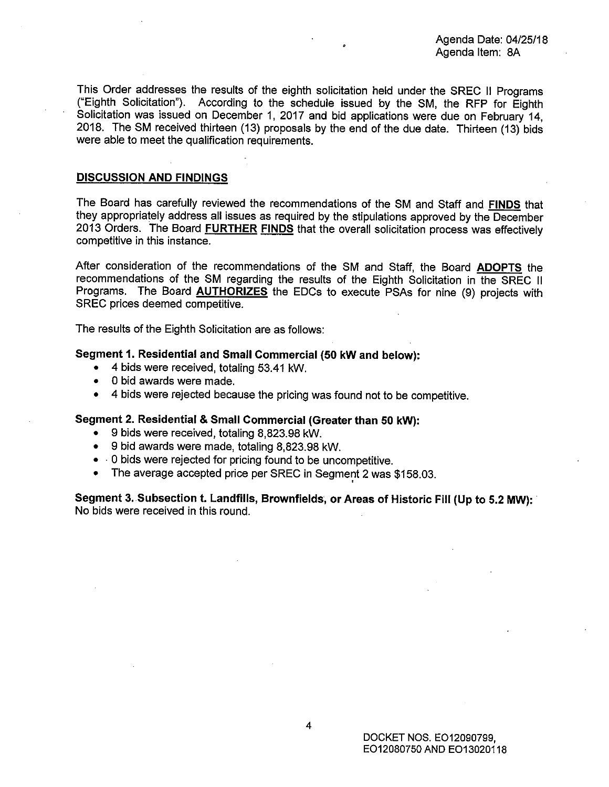Agenda Date: 04/25/18 Agenda Item: BA

This Order addresses the results of the eighth solicitation held under the SREC II Programs ("Eighth Solicitation"). According to the schedule issued by the SM, the RFP for Eighth Solicitation was issued on December 1, 2017 and bid applications were due on February 14, 2018. The SM received thirteen (13) proposals by the end of the due date. Thirteen (13) bids were able to meet the qualification requirements.

#### **DISCUSSION AND FINDINGS**

The Board has carefully reviewed the recommendations of the SM and Staff and **FINDS** that they appropriately address all issues as required by the stipulations approved by the December 2013 Orders. The Board **FURTHER FINDS** that the overall solicitation process was effectively competitive in this instance.

After consideration of the recommendations of the SM and Staff, the Board **ADOPTS** the recommendations of the SM regarding the results of the Eighth Solicitation in the SREC II Programs. The Board **AUTHORIZES** the EDCs to execute PSAs for nine (9) projects with SREC prices deemed competitive.

The results of the Eighth Solicitation are as follows:

#### **Segment 1. Residential and Small Commercial (50 kW and below):**

- 4 bids were received, totaling 53.41 kW.
- 0 bid awards were made.
- 4 bids were rejected because the pricing was found not to be competitive.

#### **Segment 2. Residential & Small Commercial (Greater than 50 kW):**

- 9 bids were received, totaling 8,823.98 kW.
- 9 bid awards were made, totaling 8,823.98 kW.
- · 0 bids were rejected for pricing found to be uncompetitive.
- The average accepted price per SREC in Segment 2 was \$158.03.

**Segment 3. Subsection t. Landfills, Brownfields, or Areas of Historic Fill (Up to 5.2 MW):** · No bids were received in this round.

'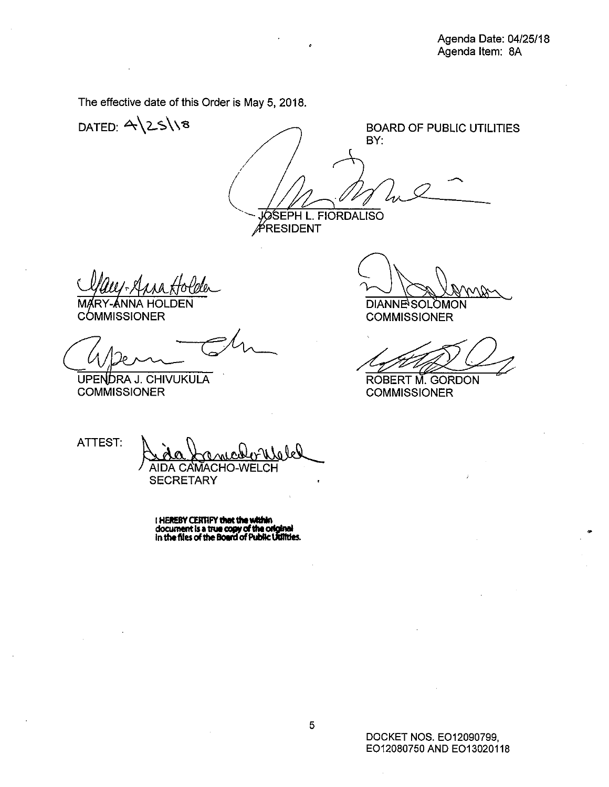The effective date of this Order is May 5, 2018.

DATED:  $4\25\%$ 

BOARD OF PUBLIC UTILITIES BY: EPH L. FIORDALISO

RESIDENT

**COMMISSIONER** 

UPENDRA J. CHIVUKULA **COMMISSIONER** 

DIANNE<sup>S</sup>SOLOMON<br>DIANNE<sup>S</sup>SOLOMON<br>COMMISSIONER DIANNESOLOMON<br>COMMISSIONER<br>ROBERT M. GORDON<br>COMMISSIONER

ROBERT M. GORDON

COMMISSIONER

ATTEST: And foncelonlele **AIDA CAMACHO-WEL SECRETARY** 

I **HEREBV CERTIFY that the within**<br>document is a true copy of the original<br>in the files of the Board of Public Willties.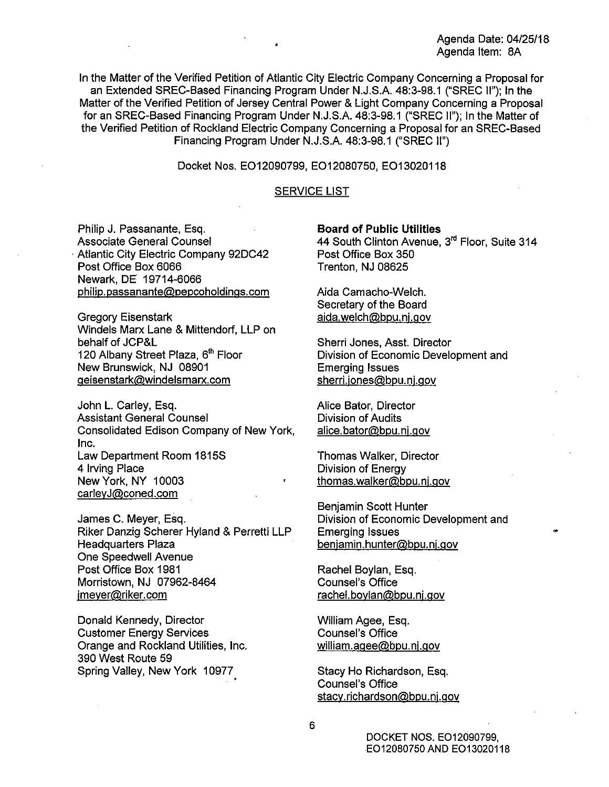In the Matter of the Verified Petition of Atlantic City Electric Company Concerning a Proposal for an Extended SREC-Based Financing Program Under N.J.S.A. 48:3-98.1 ("SREC II"); In the Matter of the Verified Petition of Jersey Central Power & Light Company Concerning a Proposal for an SREC-Based Financing Program Under N.J.S.A. 48:3-98.1 ("SREC II"); In the Matter of the Verified Petition of Rockland Electric Company Concerning a Proposal for an SREC-Based Financing Program Under N.J.S.A. 48:3-98.1 ("SREC II")

Docket Nos. E012090799, E012080750, E013020118

#### SERVICE LIST

Philip J. Passanante, Esq. Associate General Counsel Atlantic City Electric Company 92DC42 Post Office Box 6066 Newark, DE 19714-6066 philip.passanante@pepcoholdings.com

Gregory Eisenstark Windels Marx Lane & Mittendorf, LLP on behalf of JCP&L 120 Albany Street Plaza, 6<sup>th</sup> Floor New Brunswick, NJ 08901 geisenstark@windelsmarx.com

John L. Carley, Esq. Assistant General Counsel Consolidated Edison Company of New York, Inc. Law Department Room 1815S 4 Irving Place New York, NY 10003 carleyJ@coned.com

James C. Meyer, Esq. Riker Danzig Scherer Hyland & Perretti LLP Headquarters Plaza One Speedwell Avenue Post Office Box 1981 Morristown, NJ 07962-8464 jmeyer@riker.com

Donald Kennedy, Director Customer Energy Services Orange and Rockland Utilities, Inc. 390 West Route 59 Spring Valley, New York 10977,

**Board of Public Utilities** 

44 South Clinton Avenue, 3<sup>rd</sup> Floor, Suite 314 Post Office Box 350 Trenton, NJ 08625

Aida Camacho-Welch. Secretary of the Board aida.welch@bpu.nj.gov

Sherri Jones, Asst. Director Division of Economic Development and Emerging Issues sherri.jones@bpu.nj.gov

Alice Bator, Director Division of Audits alice.bator@bpu.nj.gov

Thomas Walker, Director Division of Energy thomas.walker@bpu.nj.gov

Benjamin Scott Hunter Division of Economic Development and Emerging Issues benjamin.hunter@bpu.nj.gov

Rachel Boylan, Esq. Counsel's Office rachel.boylan@bpu.nj.gov

William Agee, Esq. Counsel's Office william.agee@bpu.nj.gov

Stacy Ho Richardson, Esq. Counsel's Office stacy.richardson@bpu.nj.gov

> DOCKET NOS. E012090799, E012080750 AND E013020118